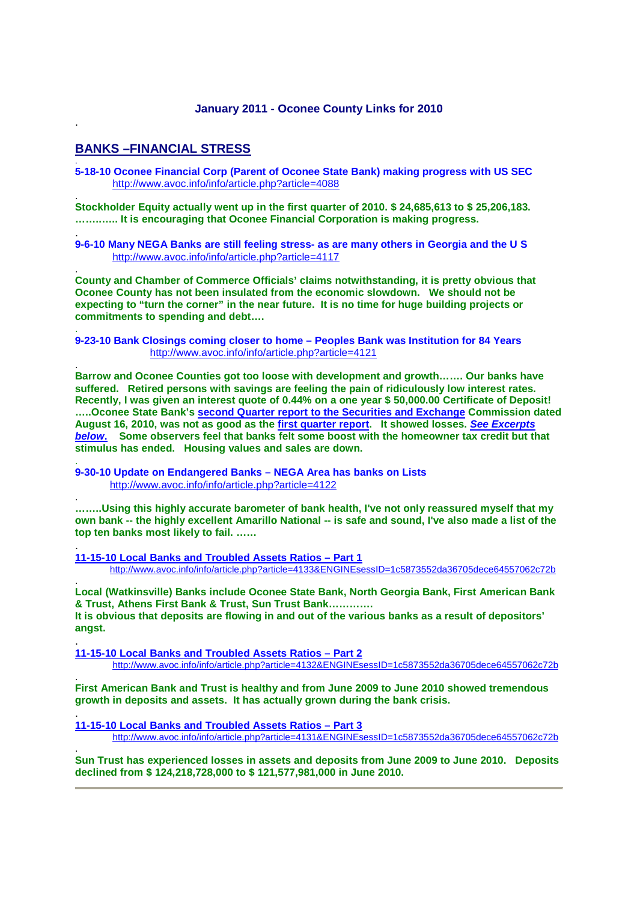#### **January 2011 - Oconee County Links for 2010**

# **BANKS –FINANCIAL STRESS**

.

.

.

.

.

.

.

.

.

.

.

.

**5-18-10 Oconee Financial Corp (Parent of Oconee State Bank) making progress with US SEC** http://www.avoc.info/info/article.php?article=4088

**Stockholder Equity actually went up in the first quarter of 2010. \$ 24,685,613 to \$ 25,206,183. ……..….. It is encouraging that Oconee Financial Corporation is making progress.** 

. **9-6-10 Many NEGA Banks are still feeling stress- as are many others in Georgia and the U S** http://www.avoc.info/info/article.php?article=4117

**County and Chamber of Commerce Officials' claims notwithstanding, it is pretty obvious that Oconee County has not been insulated from the economic slowdown. We should not be expecting to "turn the corner" in the near future. It is no time for huge building projects or commitments to spending and debt….** 

. **9-23-10 Bank Closings coming closer to home – Peoples Bank was Institution for 84 Years**  http://www.avoc.info/info/article.php?article=4121

**Barrow and Oconee Counties got too loose with development and growth……. Our banks have suffered. Retired persons with savings are feeling the pain of ridiculously low interest rates. Recently, I was given an interest quote of 0.44% on a one year \$ 50,000.00 Certificate of Deposit! …..Oconee State Bank's second Quarter report to the Securities and Exchange Commission dated August 16, 2010, was not as good as the first quarter report. It showed losses. See Excerpts below. Some observers feel that banks felt some boost with the homeowner tax credit but that stimulus has ended. Housing values and sales are down.** 

**9-30-10 Update on Endangered Banks – NEGA Area has banks on Lists** http://www.avoc.info/info/article.php?article=4122

**……..Using this highly accurate barometer of bank health, I've not only reassured myself that my own bank -- the highly excellent Amarillo National -- is safe and sound, I've also made a list of the top ten banks most likely to fail. ……**

**11-15-10 Local Banks and Troubled Assets Ratios – Part 1** http://www.avoc.info/info/article.php?article=4133&ENGINEsessID=1c5873552da36705dece64557062c72b

. **Local (Watkinsville) Banks include Oconee State Bank, North Georgia Bank, First American Bank & Trust, Athens First Bank & Trust, Sun Trust Bank…………. It is obvious that deposits are flowing in and out of the various banks as a result of depositors' angst.** 

**11-15-10 Local Banks and Troubled Assets Ratios – Part 2** http://www.avoc.info/info/article.php?article=4132&ENGINEsessID=1c5873552da36705dece64557062c72b

**First American Bank and Trust is healthy and from June 2009 to June 2010 showed tremendous growth in deposits and assets. It has actually grown during the bank crisis.** 

**11-15-10 Local Banks and Troubled Assets Ratios – Part 3**  http://www.avoc.info/info/article.php?article=4131&ENGINEsessID=1c5873552da36705dece64557062c72b

**Sun Trust has experienced losses in assets and deposits from June 2009 to June 2010. Deposits declined from \$ 124,218,728,000 to \$ 121,577,981,000 in June 2010.**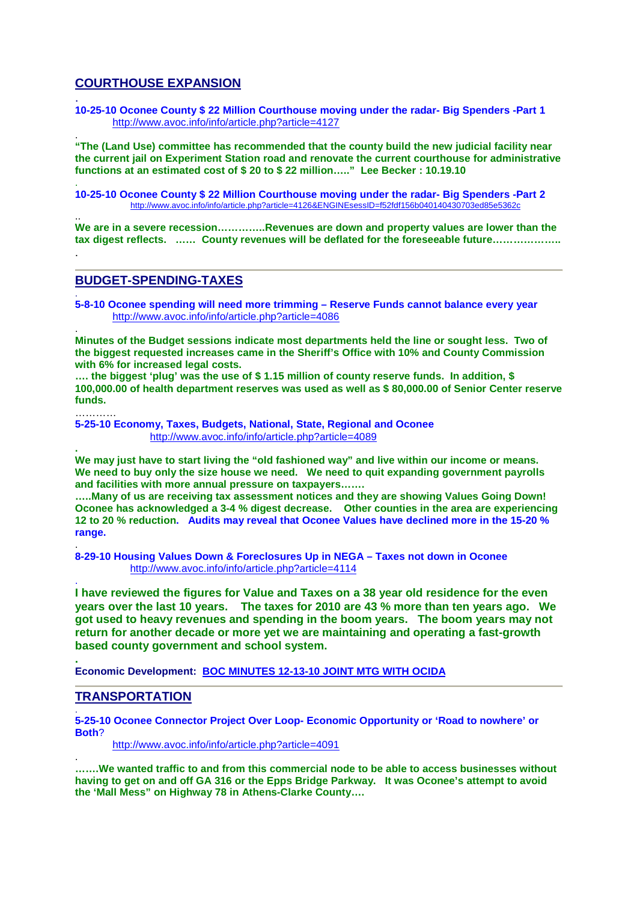# **COURTHOUSE EXPANSION**

. **10-25-10 Oconee County \$ 22 Million Courthouse moving under the radar- Big Spenders -Part 1** http://www.avoc.info/info/article.php?article=4127

. **"The (Land Use) committee has recommended that the county build the new judicial facility near the current jail on Experiment Station road and renovate the current courthouse for administrative functions at an estimated cost of \$ 20 to \$ 22 million….." Lee Becker : 10.19.10** 

. **10-25-10 Oconee County \$ 22 Million Courthouse moving under the radar- Big Spenders -Part 2** http://www.avoc.info/info/article.php?article=4126&ENGINEsessID=f52fdf156b040140430703ed85e536

**We are in a severe recession…………..Revenues are down and property values are lower than the tax digest reflects. …… County revenues will be deflated for the foreseeable future………………..** 

# **BUDGET-SPENDING-TAXES**

..

.

…………

**.** 

.

. **5-8-10 Oconee spending will need more trimming – Reserve Funds cannot balance every year** http://www.avoc.info/info/article.php?article=4086

. **Minutes of the Budget sessions indicate most departments held the line or sought less. Two of the biggest requested increases came in the Sheriff's Office with 10% and County Commission with 6% for increased legal costs.** 

**…. the biggest 'plug' was the use of \$ 1.15 million of county reserve funds. In addition, \$ 100,000.00 of health department reserves was used as well as \$ 80,000.00 of Senior Center reserve funds.** 

**5-25-10 Economy, Taxes, Budgets, National, State, Regional and Oconee** http://www.avoc.info/info/article.php?article=4089

**We may just have to start living the "old fashioned way" and live within our income or means. We need to buy only the size house we need. We need to quit expanding government payrolls and facilities with more annual pressure on taxpayers…….** 

**…..Many of us are receiving tax assessment notices and they are showing Values Going Down! Oconee has acknowledged a 3-4 % digest decrease. Other counties in the area are experiencing 12 to 20 % reduction. Audits may reveal that Oconee Values have declined more in the 15-20 % range.** 

. **8-29-10 Housing Values Down & Foreclosures Up in NEGA – Taxes not down in Oconee**  http://www.avoc.info/info/article.php?article=4114

**I have reviewed the figures for Value and Taxes on a 38 year old residence for the even years over the last 10 years. The taxes for 2010 are 43 % more than ten years ago. We got used to heavy revenues and spending in the boom years. The boom years may not return for another decade or more yet we are maintaining and operating a fast-growth based county government and school system.** 

**. Economic Development: BOC MINUTES 12-13-10 JOINT MTG WITH OCIDA**

#### **TRANSPORTATION**

. **5-25-10 Oconee Connector Project Over Loop- Economic Opportunity or 'Road to nowhere' or Both**?

http://www.avoc.info/info/article.php?article=4091

. **…….We wanted traffic to and from this commercial node to be able to access businesses without having to get on and off GA 316 or the Epps Bridge Parkway. It was Oconee's attempt to avoid the 'Mall Mess" on Highway 78 in Athens-Clarke County….**